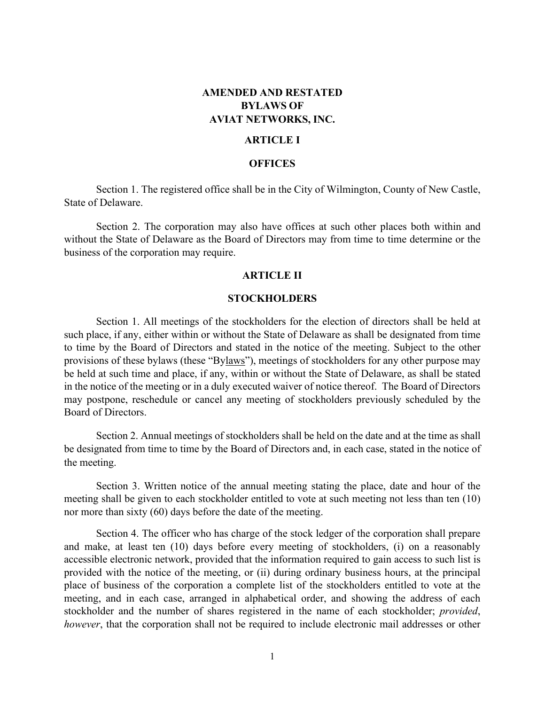# **AMENDED AND RESTATED BYLAWS OF AVIAT NETWORKS, INC.**

## **ARTICLE I**

#### **OFFICES**

Section 1. The registered office shall be in the City of Wilmington, County of New Castle, State of Delaware.

Section 2. The corporation may also have offices at such other places both within and without the State of Delaware as the Board of Directors may from time to time determine or the business of the corporation may require.

# **ARTICLE II**

### **STOCKHOLDERS**

Section 1. All meetings of the stockholders for the election of directors shall be held at such place, if any, either within or without the State of Delaware as shall be designated from time to time by the Board of Directors and stated in the notice of the meeting. Subject to the other provisions of these bylaws (these "Bylaws"), meetings of stockholders for any other purpose may be held at such time and place, if any, within or without the State of Delaware, as shall be stated in the notice of the meeting or in a duly executed waiver of notice thereof. The Board of Directors may postpone, reschedule or cancel any meeting of stockholders previously scheduled by the Board of Directors.

Section 2. Annual meetings of stockholders shall be held on the date and at the time as shall be designated from time to time by the Board of Directors and, in each case, stated in the notice of the meeting.

Section 3. Written notice of the annual meeting stating the place, date and hour of the meeting shall be given to each stockholder entitled to vote at such meeting not less than ten (10) nor more than sixty (60) days before the date of the meeting.

Section 4. The officer who has charge of the stock ledger of the corporation shall prepare and make, at least ten (10) days before every meeting of stockholders, (i) on a reasonably accessible electronic network, provided that the information required to gain access to such list is provided with the notice of the meeting, or (ii) during ordinary business hours, at the principal place of business of the corporation a complete list of the stockholders entitled to vote at the meeting, and in each case, arranged in alphabetical order, and showing the address of each stockholder and the number of shares registered in the name of each stockholder; *provided*, *however*, that the corporation shall not be required to include electronic mail addresses or other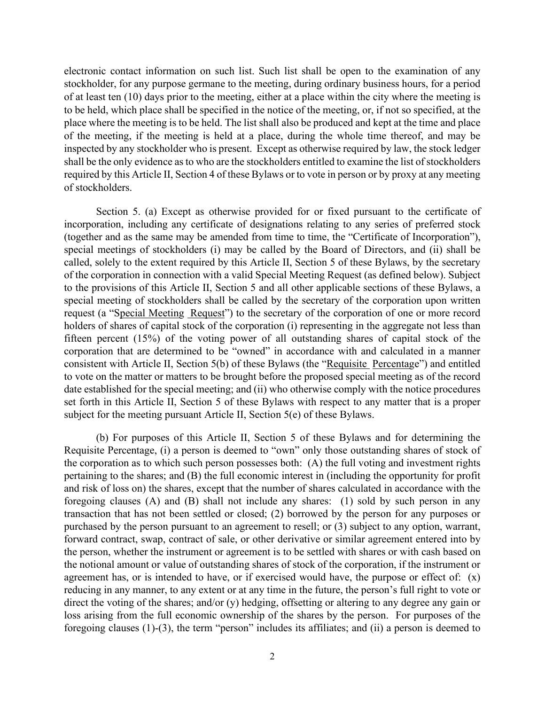electronic contact information on such list. Such list shall be open to the examination of any stockholder, for any purpose germane to the meeting, during ordinary business hours, for a period of at least ten (10) days prior to the meeting, either at a place within the city where the meeting is to be held, which place shall be specified in the notice of the meeting, or, if not so specified, at the place where the meeting is to be held. The list shall also be produced and kept at the time and place of the meeting, if the meeting is held at a place, during the whole time thereof, and may be inspected by any stockholder who is present. Except as otherwise required by law, the stock ledger shall be the only evidence as to who are the stockholders entitled to examine the list of stockholders required by this Article II, Section 4 of these Bylaws or to vote in person or by proxy at any meeting of stockholders.

Section 5. (a) Except as otherwise provided for or fixed pursuant to the certificate of incorporation, including any certificate of designations relating to any series of preferred stock (together and as the same may be amended from time to time, the "Certificate of Incorporation"), special meetings of stockholders (i) may be called by the Board of Directors, and (ii) shall be called, solely to the extent required by this Article II, Section 5 of these Bylaws, by the secretary of the corporation in connection with a valid Special Meeting Request (as defined below). Subject to the provisions of this Article II, Section 5 and all other applicable sections of these Bylaws, a special meeting of stockholders shall be called by the secretary of the corporation upon written request (a "Special Meeting Request") to the secretary of the corporation of one or more record holders of shares of capital stock of the corporation (i) representing in the aggregate not less than fifteen percent (15%) of the voting power of all outstanding shares of capital stock of the corporation that are determined to be "owned" in accordance with and calculated in a manner consistent with Article II, Section 5(b) of these Bylaws (the "Requisite Percentage") and entitled to vote on the matter or matters to be brought before the proposed special meeting as of the record date established for the special meeting; and (ii) who otherwise comply with the notice procedures set forth in this Article II, Section 5 of these Bylaws with respect to any matter that is a proper subject for the meeting pursuant Article II, Section 5(e) of these Bylaws.

(b) For purposes of this Article II, Section 5 of these Bylaws and for determining the Requisite Percentage, (i) a person is deemed to "own" only those outstanding shares of stock of the corporation as to which such person possesses both: (A) the full voting and investment rights pertaining to the shares; and (B) the full economic interest in (including the opportunity for profit and risk of loss on) the shares, except that the number of shares calculated in accordance with the foregoing clauses (A) and (B) shall not include any shares: (1) sold by such person in any transaction that has not been settled or closed; (2) borrowed by the person for any purposes or purchased by the person pursuant to an agreement to resell; or (3) subject to any option, warrant, forward contract, swap, contract of sale, or other derivative or similar agreement entered into by the person, whether the instrument or agreement is to be settled with shares or with cash based on the notional amount or value of outstanding shares of stock of the corporation, if the instrument or agreement has, or is intended to have, or if exercised would have, the purpose or effect of: (x) reducing in any manner, to any extent or at any time in the future, the person's full right to vote or direct the voting of the shares; and/or (y) hedging, offsetting or altering to any degree any gain or loss arising from the full economic ownership of the shares by the person. For purposes of the foregoing clauses (1)-(3), the term "person" includes its affiliates; and (ii) a person is deemed to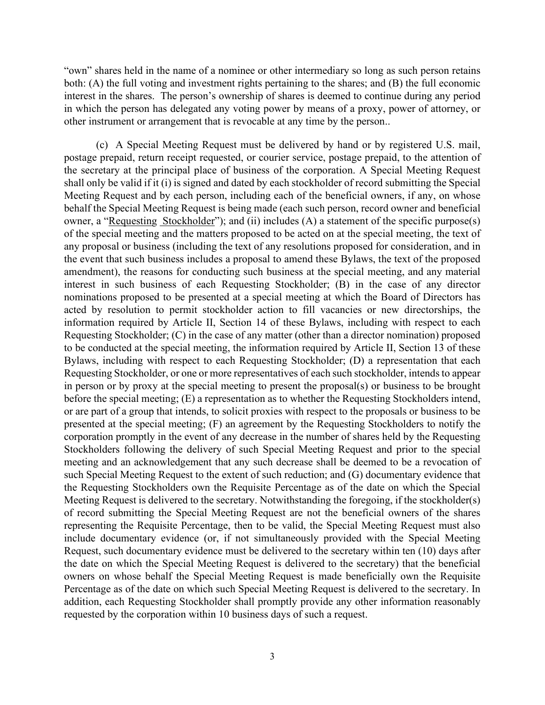"own" shares held in the name of a nominee or other intermediary so long as such person retains both: (A) the full voting and investment rights pertaining to the shares; and (B) the full economic interest in the shares. The person's ownership of shares is deemed to continue during any period in which the person has delegated any voting power by means of a proxy, power of attorney, or other instrument or arrangement that is revocable at any time by the person..

(c) A Special Meeting Request must be delivered by hand or by registered U.S. mail, postage prepaid, return receipt requested, or courier service, postage prepaid, to the attention of the secretary at the principal place of business of the corporation. A Special Meeting Request shall only be valid if it (i) is signed and dated by each stockholder of record submitting the Special Meeting Request and by each person, including each of the beneficial owners, if any, on whose behalf the Special Meeting Request is being made (each such person, record owner and beneficial owner, a "Requesting Stockholder"); and (ii) includes (A) a statement of the specific purpose(s) of the special meeting and the matters proposed to be acted on at the special meeting, the text of any proposal or business (including the text of any resolutions proposed for consideration, and in the event that such business includes a proposal to amend these Bylaws, the text of the proposed amendment), the reasons for conducting such business at the special meeting, and any material interest in such business of each Requesting Stockholder; (B) in the case of any director nominations proposed to be presented at a special meeting at which the Board of Directors has acted by resolution to permit stockholder action to fill vacancies or new directorships, the information required by Article II, Section 14 of these Bylaws, including with respect to each Requesting Stockholder; (C) in the case of any matter (other than a director nomination) proposed to be conducted at the special meeting, the information required by Article II, Section 13 of these Bylaws, including with respect to each Requesting Stockholder; (D) a representation that each Requesting Stockholder, or one or more representatives of each such stockholder, intends to appear in person or by proxy at the special meeting to present the proposal(s) or business to be brought before the special meeting; (E) a representation as to whether the Requesting Stockholders intend, or are part of a group that intends, to solicit proxies with respect to the proposals or business to be presented at the special meeting; (F) an agreement by the Requesting Stockholders to notify the corporation promptly in the event of any decrease in the number of shares held by the Requesting Stockholders following the delivery of such Special Meeting Request and prior to the special meeting and an acknowledgement that any such decrease shall be deemed to be a revocation of such Special Meeting Request to the extent of such reduction; and (G) documentary evidence that the Requesting Stockholders own the Requisite Percentage as of the date on which the Special Meeting Request is delivered to the secretary. Notwithstanding the foregoing, if the stockholder(s) of record submitting the Special Meeting Request are not the beneficial owners of the shares representing the Requisite Percentage, then to be valid, the Special Meeting Request must also include documentary evidence (or, if not simultaneously provided with the Special Meeting Request, such documentary evidence must be delivered to the secretary within ten (10) days after the date on which the Special Meeting Request is delivered to the secretary) that the beneficial owners on whose behalf the Special Meeting Request is made beneficially own the Requisite Percentage as of the date on which such Special Meeting Request is delivered to the secretary. In addition, each Requesting Stockholder shall promptly provide any other information reasonably requested by the corporation within 10 business days of such a request.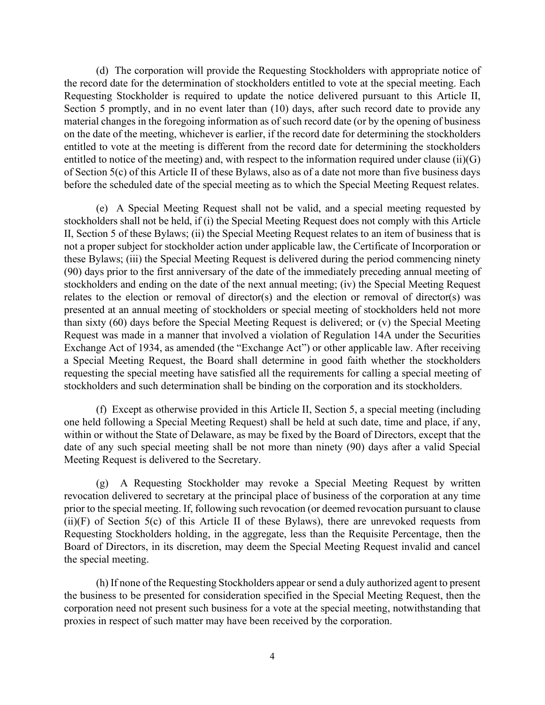(d) The corporation will provide the Requesting Stockholders with appropriate notice of the record date for the determination of stockholders entitled to vote at the special meeting. Each Requesting Stockholder is required to update the notice delivered pursuant to this Article II, Section 5 promptly, and in no event later than (10) days, after such record date to provide any material changes in the foregoing information as of such record date (or by the opening of business on the date of the meeting, whichever is earlier, if the record date for determining the stockholders entitled to vote at the meeting is different from the record date for determining the stockholders entitled to notice of the meeting) and, with respect to the information required under clause (ii)(G) of Section 5(c) of this Article II of these Bylaws, also as of a date not more than five business days before the scheduled date of the special meeting as to which the Special Meeting Request relates.

(e) A Special Meeting Request shall not be valid, and a special meeting requested by stockholders shall not be held, if (i) the Special Meeting Request does not comply with this Article II, Section 5 of these Bylaws; (ii) the Special Meeting Request relates to an item of business that is not a proper subject for stockholder action under applicable law, the Certificate of Incorporation or these Bylaws; (iii) the Special Meeting Request is delivered during the period commencing ninety (90) days prior to the first anniversary of the date of the immediately preceding annual meeting of stockholders and ending on the date of the next annual meeting; (iv) the Special Meeting Request relates to the election or removal of director(s) and the election or removal of director(s) was presented at an annual meeting of stockholders or special meeting of stockholders held not more than sixty (60) days before the Special Meeting Request is delivered; or (v) the Special Meeting Request was made in a manner that involved a violation of Regulation 14A under the Securities Exchange Act of 1934, as amended (the "Exchange Act") or other applicable law. After receiving a Special Meeting Request, the Board shall determine in good faith whether the stockholders requesting the special meeting have satisfied all the requirements for calling a special meeting of stockholders and such determination shall be binding on the corporation and its stockholders.

(f) Except as otherwise provided in this Article II, Section 5, a special meeting (including one held following a Special Meeting Request) shall be held at such date, time and place, if any, within or without the State of Delaware, as may be fixed by the Board of Directors, except that the date of any such special meeting shall be not more than ninety (90) days after a valid Special Meeting Request is delivered to the Secretary.

(g) A Requesting Stockholder may revoke a Special Meeting Request by written revocation delivered to secretary at the principal place of business of the corporation at any time prior to the special meeting. If, following such revocation (or deemed revocation pursuant to clause (ii)(F) of Section 5(c) of this Article II of these Bylaws), there are unrevoked requests from Requesting Stockholders holding, in the aggregate, less than the Requisite Percentage, then the Board of Directors, in its discretion, may deem the Special Meeting Request invalid and cancel the special meeting.

(h) If none of the Requesting Stockholders appear or send a duly authorized agent to present the business to be presented for consideration specified in the Special Meeting Request, then the corporation need not present such business for a vote at the special meeting, notwithstanding that proxies in respect of such matter may have been received by the corporation.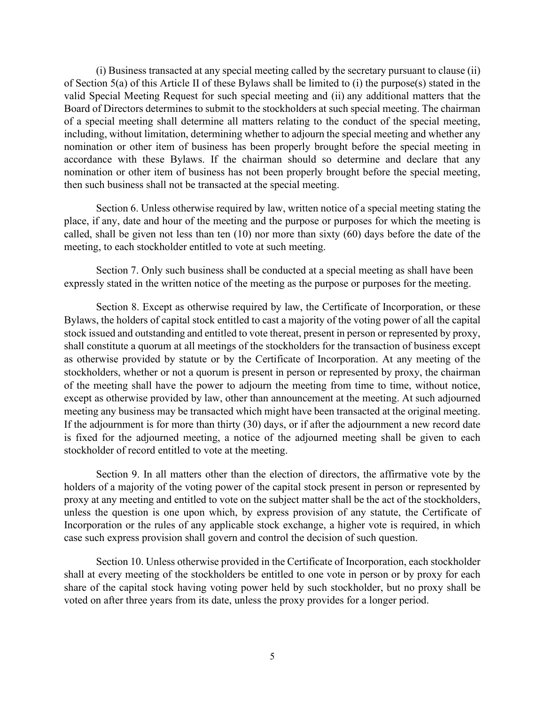(i) Business transacted at any special meeting called by the secretary pursuant to clause (ii) of Section 5(a) of this Article II of these Bylaws shall be limited to (i) the purpose(s) stated in the valid Special Meeting Request for such special meeting and (ii) any additional matters that the Board of Directors determines to submit to the stockholders at such special meeting. The chairman of a special meeting shall determine all matters relating to the conduct of the special meeting, including, without limitation, determining whether to adjourn the special meeting and whether any nomination or other item of business has been properly brought before the special meeting in accordance with these Bylaws. If the chairman should so determine and declare that any nomination or other item of business has not been properly brought before the special meeting, then such business shall not be transacted at the special meeting.

Section 6. Unless otherwise required by law, written notice of a special meeting stating the place, if any, date and hour of the meeting and the purpose or purposes for which the meeting is called, shall be given not less than ten (10) nor more than sixty (60) days before the date of the meeting, to each stockholder entitled to vote at such meeting.

Section 7. Only such business shall be conducted at a special meeting as shall have been expressly stated in the written notice of the meeting as the purpose or purposes for the meeting.

Section 8. Except as otherwise required by law, the Certificate of Incorporation, or these Bylaws, the holders of capital stock entitled to cast a majority of the voting power of all the capital stock issued and outstanding and entitled to vote thereat, present in person or represented by proxy, shall constitute a quorum at all meetings of the stockholders for the transaction of business except as otherwise provided by statute or by the Certificate of Incorporation. At any meeting of the stockholders, whether or not a quorum is present in person or represented by proxy, the chairman of the meeting shall have the power to adjourn the meeting from time to time, without notice, except as otherwise provided by law, other than announcement at the meeting. At such adjourned meeting any business may be transacted which might have been transacted at the original meeting. If the adjournment is for more than thirty (30) days, or if after the adjournment a new record date is fixed for the adjourned meeting, a notice of the adjourned meeting shall be given to each stockholder of record entitled to vote at the meeting.

Section 9. In all matters other than the election of directors, the affirmative vote by the holders of a majority of the voting power of the capital stock present in person or represented by proxy at any meeting and entitled to vote on the subject matter shall be the act of the stockholders, unless the question is one upon which, by express provision of any statute, the Certificate of Incorporation or the rules of any applicable stock exchange, a higher vote is required, in which case such express provision shall govern and control the decision of such question.

Section 10. Unless otherwise provided in the Certificate of Incorporation, each stockholder shall at every meeting of the stockholders be entitled to one vote in person or by proxy for each share of the capital stock having voting power held by such stockholder, but no proxy shall be voted on after three years from its date, unless the proxy provides for a longer period.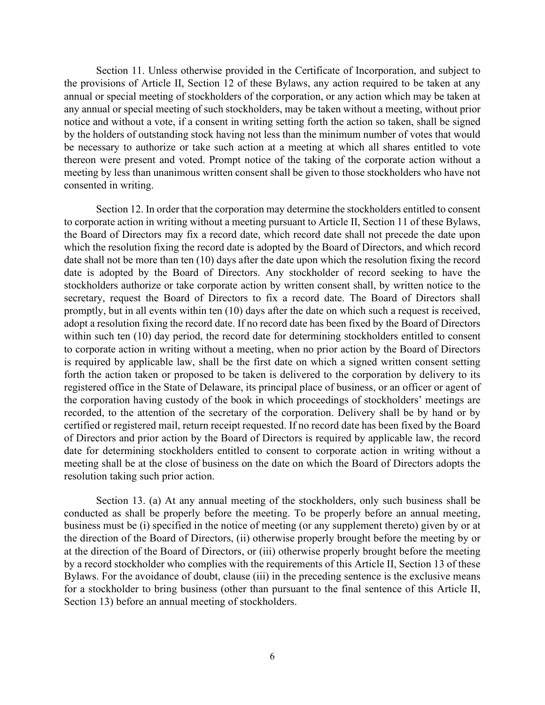Section 11. Unless otherwise provided in the Certificate of Incorporation, and subject to the provisions of Article II, Section 12 of these Bylaws, any action required to be taken at any annual or special meeting of stockholders of the corporation, or any action which may be taken at any annual or special meeting of such stockholders, may be taken without a meeting, without prior notice and without a vote, if a consent in writing setting forth the action so taken, shall be signed by the holders of outstanding stock having not less than the minimum number of votes that would be necessary to authorize or take such action at a meeting at which all shares entitled to vote thereon were present and voted. Prompt notice of the taking of the corporate action without a meeting by less than unanimous written consent shall be given to those stockholders who have not consented in writing.

Section 12. In order that the corporation may determine the stockholders entitled to consent to corporate action in writing without a meeting pursuant to Article II, Section 11 of these Bylaws, the Board of Directors may fix a record date, which record date shall not precede the date upon which the resolution fixing the record date is adopted by the Board of Directors, and which record date shall not be more than ten (10) days after the date upon which the resolution fixing the record date is adopted by the Board of Directors. Any stockholder of record seeking to have the stockholders authorize or take corporate action by written consent shall, by written notice to the secretary, request the Board of Directors to fix a record date. The Board of Directors shall promptly, but in all events within ten (10) days after the date on which such a request is received, adopt a resolution fixing the record date. If no record date has been fixed by the Board of Directors within such ten (10) day period, the record date for determining stockholders entitled to consent to corporate action in writing without a meeting, when no prior action by the Board of Directors is required by applicable law, shall be the first date on which a signed written consent setting forth the action taken or proposed to be taken is delivered to the corporation by delivery to its registered office in the State of Delaware, its principal place of business, or an officer or agent of the corporation having custody of the book in which proceedings of stockholders' meetings are recorded, to the attention of the secretary of the corporation. Delivery shall be by hand or by certified or registered mail, return receipt requested. If no record date has been fixed by the Board of Directors and prior action by the Board of Directors is required by applicable law, the record date for determining stockholders entitled to consent to corporate action in writing without a meeting shall be at the close of business on the date on which the Board of Directors adopts the resolution taking such prior action.

Section 13. (a) At any annual meeting of the stockholders, only such business shall be conducted as shall be properly before the meeting. To be properly before an annual meeting, business must be (i) specified in the notice of meeting (or any supplement thereto) given by or at the direction of the Board of Directors, (ii) otherwise properly brought before the meeting by or at the direction of the Board of Directors, or (iii) otherwise properly brought before the meeting by a record stockholder who complies with the requirements of this Article II, Section 13 of these Bylaws. For the avoidance of doubt, clause (iii) in the preceding sentence is the exclusive means for a stockholder to bring business (other than pursuant to the final sentence of this Article II, Section 13) before an annual meeting of stockholders.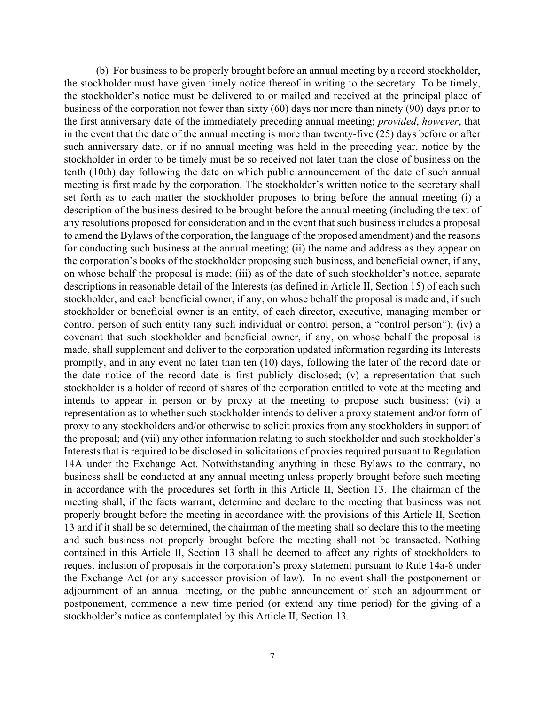(b) For business to be properly brought before an annual meeting by a record stockholder, the stockholder must have given timely notice thereof in writing to the secretary. To be timely, the stockholder's notice must be delivered to or mailed and received at the principal place of business of the corporation not fewer than sixty (60) days nor more than ninety (90) days prior to the first anniversary date of the immediately preceding annual meeting; *provided*, *however*, that in the event that the date of the annual meeting is more than twenty-five (25) days before or after such anniversary date, or if no annual meeting was held in the preceding year, notice by the stockholder in order to be timely must be so received not later than the close of business on the tenth (10th) day following the date on which public announcement of the date of such annual meeting is first made by the corporation. The stockholder's written notice to the secretary shall set forth as to each matter the stockholder proposes to bring before the annual meeting (i) a description of the business desired to be brought before the annual meeting (including the text of any resolutions proposed for consideration and in the event that such business includes a proposal to amend the Bylaws of the corporation, the language of the proposed amendment) and the reasons for conducting such business at the annual meeting; (ii) the name and address as they appear on the corporation's books of the stockholder proposing such business, and beneficial owner, if any, on whose behalf the proposal is made; (iii) as of the date of such stockholder's notice, separate descriptions in reasonable detail of the Interests (as defined in Article II, Section 15) of each such stockholder, and each beneficial owner, if any, on whose behalf the proposal is made and, if such stockholder or beneficial owner is an entity, of each director, executive, managing member or control person of such entity (any such individual or control person, a "control person"); (iv) a covenant that such stockholder and beneficial owner, if any, on whose behalf the proposal is made, shall supplement and deliver to the corporation updated information regarding its Interests promptly, and in any event no later than ten (10) days, following the later of the record date or the date notice of the record date is first publicly disclosed; (v) a representation that such stockholder is a holder of record of shares of the corporation entitled to vote at the meeting and intends to appear in person or by proxy at the meeting to propose such business; (vi) a representation as to whether such stockholder intends to deliver a proxy statement and/or form of proxy to any stockholders and/or otherwise to solicit proxies from any stockholders in support of the proposal; and (vii) any other information relating to such stockholder and such stockholder's Interests that is required to be disclosed in solicitations of proxies required pursuant to Regulation 14A under the Exchange Act. Notwithstanding anything in these Bylaws to the contrary, no business shall be conducted at any annual meeting unless properly brought before such meeting in accordance with the procedures set forth in this Article II, Section 13. The chairman of the meeting shall, if the facts warrant, determine and declare to the meeting that business was not properly brought before the meeting in accordance with the provisions of this Article II, Section 13 and if it shall be so determined, the chairman of the meeting shall so declare this to the meeting and such business not properly brought before the meeting shall not be transacted. Nothing contained in this Article II, Section 13 shall be deemed to affect any rights of stockholders to request inclusion of proposals in the corporation's proxy statement pursuant to Rule 14a-8 under the Exchange Act (or any successor provision of law). In no event shall the postponement or adjournment of an annual meeting, or the public announcement of such an adjournment or postponement, commence a new time period (or extend any time period) for the giving of a stockholder's notice as contemplated by this Article II, Section 13.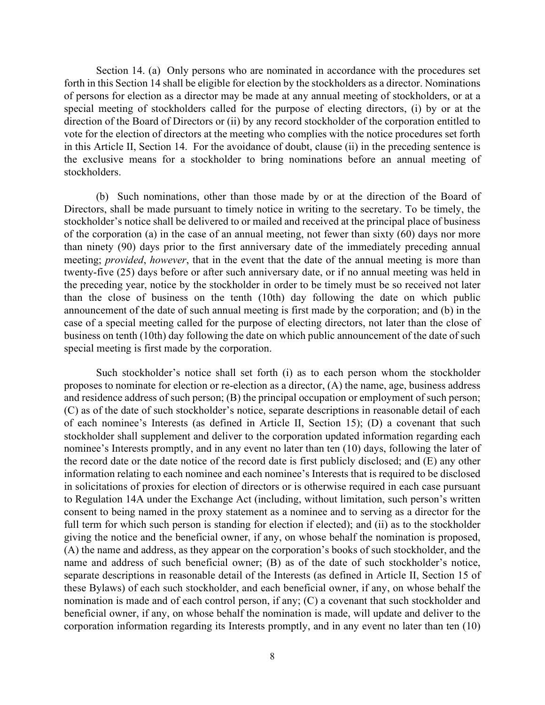Section 14. (a) Only persons who are nominated in accordance with the procedures set forth in this Section 14 shall be eligible for election by the stockholders as a director. Nominations of persons for election as a director may be made at any annual meeting of stockholders, or at a special meeting of stockholders called for the purpose of electing directors, (i) by or at the direction of the Board of Directors or (ii) by any record stockholder of the corporation entitled to vote for the election of directors at the meeting who complies with the notice procedures set forth in this Article II, Section 14. For the avoidance of doubt, clause (ii) in the preceding sentence is the exclusive means for a stockholder to bring nominations before an annual meeting of stockholders.

(b) Such nominations, other than those made by or at the direction of the Board of Directors, shall be made pursuant to timely notice in writing to the secretary. To be timely, the stockholder's notice shall be delivered to or mailed and received at the principal place of business of the corporation (a) in the case of an annual meeting, not fewer than sixty (60) days nor more than ninety (90) days prior to the first anniversary date of the immediately preceding annual meeting; *provided*, *however*, that in the event that the date of the annual meeting is more than twenty-five (25) days before or after such anniversary date, or if no annual meeting was held in the preceding year, notice by the stockholder in order to be timely must be so received not later than the close of business on the tenth (10th) day following the date on which public announcement of the date of such annual meeting is first made by the corporation; and (b) in the case of a special meeting called for the purpose of electing directors, not later than the close of business on tenth (10th) day following the date on which public announcement of the date of such special meeting is first made by the corporation.

Such stockholder's notice shall set forth (i) as to each person whom the stockholder proposes to nominate for election or re-election as a director, (A) the name, age, business address and residence address of such person; (B) the principal occupation or employment of such person; (C) as of the date of such stockholder's notice, separate descriptions in reasonable detail of each of each nominee's Interests (as defined in Article II, Section 15); (D) a covenant that such stockholder shall supplement and deliver to the corporation updated information regarding each nominee's Interests promptly, and in any event no later than ten (10) days, following the later of the record date or the date notice of the record date is first publicly disclosed; and (E) any other information relating to each nominee and each nominee's Interests that is required to be disclosed in solicitations of proxies for election of directors or is otherwise required in each case pursuant to Regulation 14A under the Exchange Act (including, without limitation, such person's written consent to being named in the proxy statement as a nominee and to serving as a director for the full term for which such person is standing for election if elected); and (ii) as to the stockholder giving the notice and the beneficial owner, if any, on whose behalf the nomination is proposed, (A) the name and address, as they appear on the corporation's books of such stockholder, and the name and address of such beneficial owner; (B) as of the date of such stockholder's notice, separate descriptions in reasonable detail of the Interests (as defined in Article II, Section 15 of these Bylaws) of each such stockholder, and each beneficial owner, if any, on whose behalf the nomination is made and of each control person, if any; (C) a covenant that such stockholder and beneficial owner, if any, on whose behalf the nomination is made, will update and deliver to the corporation information regarding its Interests promptly, and in any event no later than ten (10)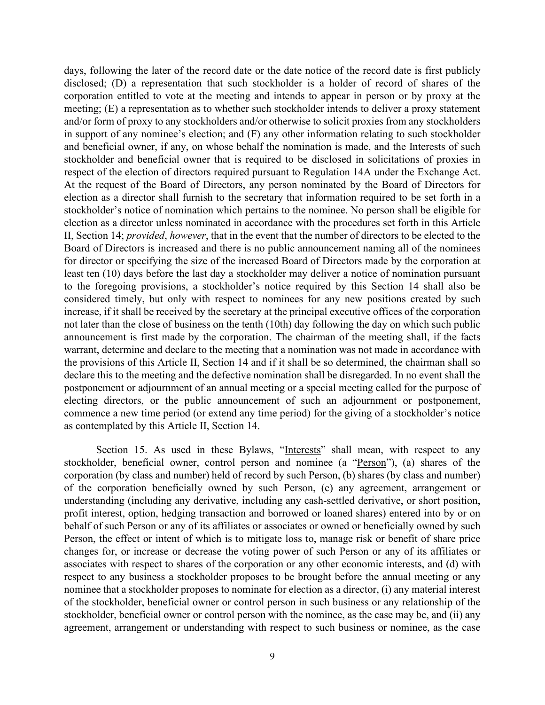days, following the later of the record date or the date notice of the record date is first publicly disclosed; (D) a representation that such stockholder is a holder of record of shares of the corporation entitled to vote at the meeting and intends to appear in person or by proxy at the meeting; (E) a representation as to whether such stockholder intends to deliver a proxy statement and/or form of proxy to any stockholders and/or otherwise to solicit proxies from any stockholders in support of any nominee's election; and (F) any other information relating to such stockholder and beneficial owner, if any, on whose behalf the nomination is made, and the Interests of such stockholder and beneficial owner that is required to be disclosed in solicitations of proxies in respect of the election of directors required pursuant to Regulation 14A under the Exchange Act. At the request of the Board of Directors, any person nominated by the Board of Directors for election as a director shall furnish to the secretary that information required to be set forth in a stockholder's notice of nomination which pertains to the nominee. No person shall be eligible for election as a director unless nominated in accordance with the procedures set forth in this Article II, Section 14; *provided*, *however*, that in the event that the number of directors to be elected to the Board of Directors is increased and there is no public announcement naming all of the nominees for director or specifying the size of the increased Board of Directors made by the corporation at least ten (10) days before the last day a stockholder may deliver a notice of nomination pursuant to the foregoing provisions, a stockholder's notice required by this Section 14 shall also be considered timely, but only with respect to nominees for any new positions created by such increase, if it shall be received by the secretary at the principal executive offices of the corporation not later than the close of business on the tenth (10th) day following the day on which such public announcement is first made by the corporation. The chairman of the meeting shall, if the facts warrant, determine and declare to the meeting that a nomination was not made in accordance with the provisions of this Article II, Section 14 and if it shall be so determined, the chairman shall so declare this to the meeting and the defective nomination shall be disregarded. In no event shall the postponement or adjournment of an annual meeting or a special meeting called for the purpose of electing directors, or the public announcement of such an adjournment or postponement, commence a new time period (or extend any time period) for the giving of a stockholder's notice as contemplated by this Article II, Section 14.

Section 15. As used in these Bylaws, "Interests" shall mean, with respect to any stockholder, beneficial owner, control person and nominee (a "Person"), (a) shares of the corporation (by class and number) held of record by such Person, (b) shares (by class and number) of the corporation beneficially owned by such Person, (c) any agreement, arrangement or understanding (including any derivative, including any cash-settled derivative, or short position, profit interest, option, hedging transaction and borrowed or loaned shares) entered into by or on behalf of such Person or any of its affiliates or associates or owned or beneficially owned by such Person, the effect or intent of which is to mitigate loss to, manage risk or benefit of share price changes for, or increase or decrease the voting power of such Person or any of its affiliates or associates with respect to shares of the corporation or any other economic interests, and (d) with respect to any business a stockholder proposes to be brought before the annual meeting or any nominee that a stockholder proposes to nominate for election as a director, (i) any material interest of the stockholder, beneficial owner or control person in such business or any relationship of the stockholder, beneficial owner or control person with the nominee, as the case may be, and (ii) any agreement, arrangement or understanding with respect to such business or nominee, as the case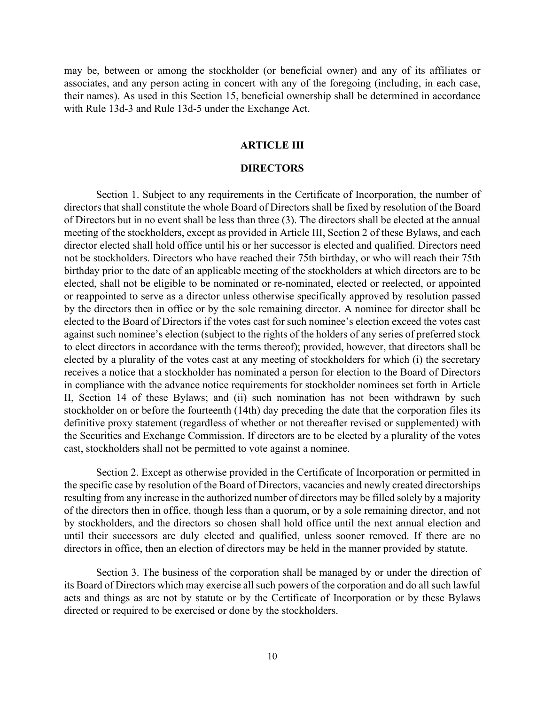may be, between or among the stockholder (or beneficial owner) and any of its affiliates or associates, and any person acting in concert with any of the foregoing (including, in each case, their names). As used in this Section 15, beneficial ownership shall be determined in accordance with Rule 13d-3 and Rule 13d-5 under the Exchange Act.

#### **ARTICLE III**

### **DIRECTORS**

Section 1. Subject to any requirements in the Certificate of Incorporation, the number of directors that shall constitute the whole Board of Directors shall be fixed by resolution of the Board of Directors but in no event shall be less than three (3). The directors shall be elected at the annual meeting of the stockholders, except as provided in Article III, Section 2 of these Bylaws, and each director elected shall hold office until his or her successor is elected and qualified. Directors need not be stockholders. Directors who have reached their 75th birthday, or who will reach their 75th birthday prior to the date of an applicable meeting of the stockholders at which directors are to be elected, shall not be eligible to be nominated or re-nominated, elected or reelected, or appointed or reappointed to serve as a director unless otherwise specifically approved by resolution passed by the directors then in office or by the sole remaining director. A nominee for director shall be elected to the Board of Directors if the votes cast for such nominee's election exceed the votes cast against such nominee's election (subject to the rights of the holders of any series of preferred stock to elect directors in accordance with the terms thereof); provided, however, that directors shall be elected by a plurality of the votes cast at any meeting of stockholders for which (i) the secretary receives a notice that a stockholder has nominated a person for election to the Board of Directors in compliance with the advance notice requirements for stockholder nominees set forth in Article II, Section 14 of these Bylaws; and (ii) such nomination has not been withdrawn by such stockholder on or before the fourteenth (14th) day preceding the date that the corporation files its definitive proxy statement (regardless of whether or not thereafter revised or supplemented) with the Securities and Exchange Commission. If directors are to be elected by a plurality of the votes cast, stockholders shall not be permitted to vote against a nominee.

Section 2. Except as otherwise provided in the Certificate of Incorporation or permitted in the specific case by resolution of the Board of Directors, vacancies and newly created directorships resulting from any increase in the authorized number of directors may be filled solely by a majority of the directors then in office, though less than a quorum, or by a sole remaining director, and not by stockholders, and the directors so chosen shall hold office until the next annual election and until their successors are duly elected and qualified, unless sooner removed. If there are no directors in office, then an election of directors may be held in the manner provided by statute.

Section 3. The business of the corporation shall be managed by or under the direction of its Board of Directors which may exercise all such powers of the corporation and do all such lawful acts and things as are not by statute or by the Certificate of Incorporation or by these Bylaws directed or required to be exercised or done by the stockholders.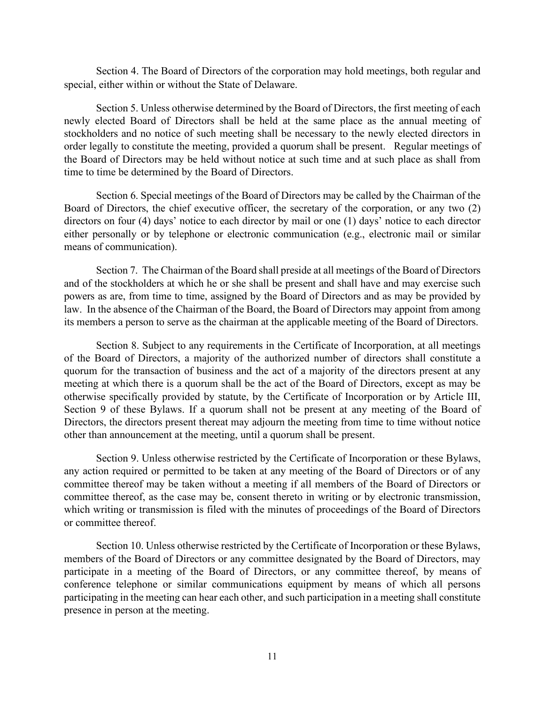Section 4. The Board of Directors of the corporation may hold meetings, both regular and special, either within or without the State of Delaware.

Section 5. Unless otherwise determined by the Board of Directors, the first meeting of each newly elected Board of Directors shall be held at the same place as the annual meeting of stockholders and no notice of such meeting shall be necessary to the newly elected directors in order legally to constitute the meeting, provided a quorum shall be present. Regular meetings of the Board of Directors may be held without notice at such time and at such place as shall from time to time be determined by the Board of Directors.

Section 6. Special meetings of the Board of Directors may be called by the Chairman of the Board of Directors, the chief executive officer, the secretary of the corporation, or any two (2) directors on four (4) days' notice to each director by mail or one (1) days' notice to each director either personally or by telephone or electronic communication (e.g., electronic mail or similar means of communication).

Section 7. The Chairman of the Board shall preside at all meetings of the Board of Directors and of the stockholders at which he or she shall be present and shall have and may exercise such powers as are, from time to time, assigned by the Board of Directors and as may be provided by law. In the absence of the Chairman of the Board, the Board of Directors may appoint from among its members a person to serve as the chairman at the applicable meeting of the Board of Directors.

Section 8. Subject to any requirements in the Certificate of Incorporation, at all meetings of the Board of Directors, a majority of the authorized number of directors shall constitute a quorum for the transaction of business and the act of a majority of the directors present at any meeting at which there is a quorum shall be the act of the Board of Directors, except as may be otherwise specifically provided by statute, by the Certificate of Incorporation or by Article III, Section 9 of these Bylaws. If a quorum shall not be present at any meeting of the Board of Directors, the directors present thereat may adjourn the meeting from time to time without notice other than announcement at the meeting, until a quorum shall be present.

Section 9. Unless otherwise restricted by the Certificate of Incorporation or these Bylaws, any action required or permitted to be taken at any meeting of the Board of Directors or of any committee thereof may be taken without a meeting if all members of the Board of Directors or committee thereof, as the case may be, consent thereto in writing or by electronic transmission, which writing or transmission is filed with the minutes of proceedings of the Board of Directors or committee thereof.

Section 10. Unless otherwise restricted by the Certificate of Incorporation or these Bylaws, members of the Board of Directors or any committee designated by the Board of Directors, may participate in a meeting of the Board of Directors, or any committee thereof, by means of conference telephone or similar communications equipment by means of which all persons participating in the meeting can hear each other, and such participation in a meeting shall constitute presence in person at the meeting.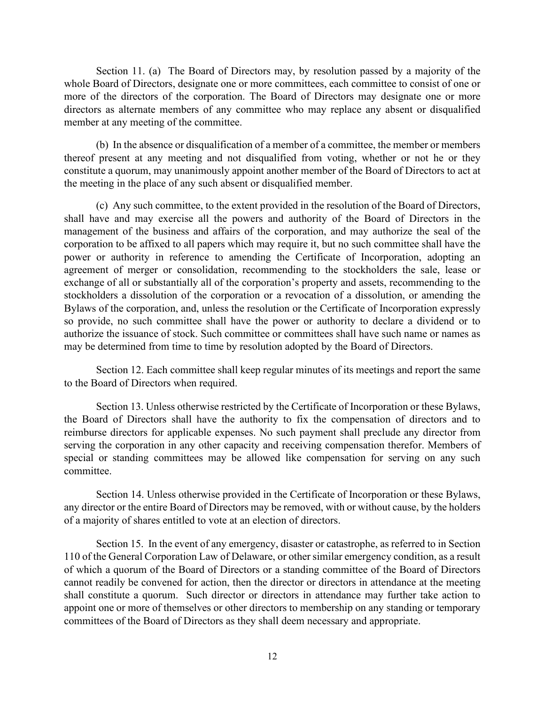Section 11. (a) The Board of Directors may, by resolution passed by a majority of the whole Board of Directors, designate one or more committees, each committee to consist of one or more of the directors of the corporation. The Board of Directors may designate one or more directors as alternate members of any committee who may replace any absent or disqualified member at any meeting of the committee.

(b) In the absence or disqualification of a member of a committee, the member or members thereof present at any meeting and not disqualified from voting, whether or not he or they constitute a quorum, may unanimously appoint another member of the Board of Directors to act at the meeting in the place of any such absent or disqualified member.

(c) Any such committee, to the extent provided in the resolution of the Board of Directors, shall have and may exercise all the powers and authority of the Board of Directors in the management of the business and affairs of the corporation, and may authorize the seal of the corporation to be affixed to all papers which may require it, but no such committee shall have the power or authority in reference to amending the Certificate of Incorporation, adopting an agreement of merger or consolidation, recommending to the stockholders the sale, lease or exchange of all or substantially all of the corporation's property and assets, recommending to the stockholders a dissolution of the corporation or a revocation of a dissolution, or amending the Bylaws of the corporation, and, unless the resolution or the Certificate of Incorporation expressly so provide, no such committee shall have the power or authority to declare a dividend or to authorize the issuance of stock. Such committee or committees shall have such name or names as may be determined from time to time by resolution adopted by the Board of Directors.

Section 12. Each committee shall keep regular minutes of its meetings and report the same to the Board of Directors when required.

Section 13. Unless otherwise restricted by the Certificate of Incorporation or these Bylaws, the Board of Directors shall have the authority to fix the compensation of directors and to reimburse directors for applicable expenses. No such payment shall preclude any director from serving the corporation in any other capacity and receiving compensation therefor. Members of special or standing committees may be allowed like compensation for serving on any such committee.

Section 14. Unless otherwise provided in the Certificate of Incorporation or these Bylaws, any director or the entire Board of Directors may be removed, with or without cause, by the holders of a majority of shares entitled to vote at an election of directors.

Section 15. In the event of any emergency, disaster or catastrophe, as referred to in Section 110 of the General Corporation Law of Delaware, or other similar emergency condition, as a result of which a quorum of the Board of Directors or a standing committee of the Board of Directors cannot readily be convened for action, then the director or directors in attendance at the meeting shall constitute a quorum. Such director or directors in attendance may further take action to appoint one or more of themselves or other directors to membership on any standing or temporary committees of the Board of Directors as they shall deem necessary and appropriate.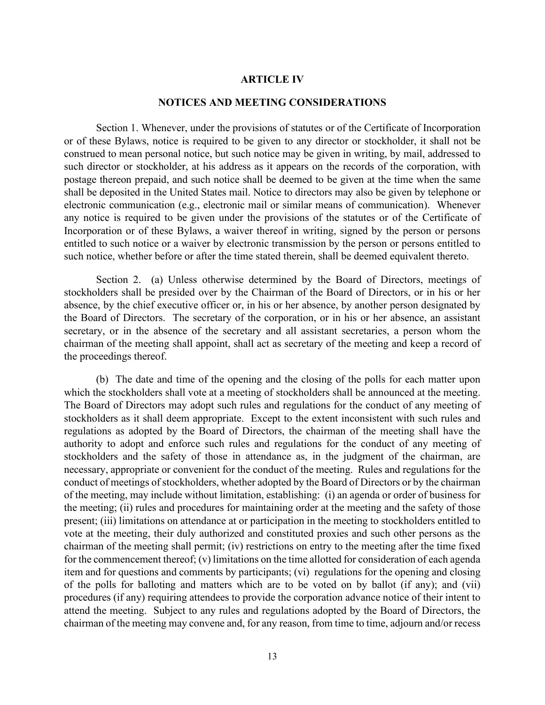# **ARTICLE IV**

# **NOTICES AND MEETING CONSIDERATIONS**

Section 1. Whenever, under the provisions of statutes or of the Certificate of Incorporation or of these Bylaws, notice is required to be given to any director or stockholder, it shall not be construed to mean personal notice, but such notice may be given in writing, by mail, addressed to such director or stockholder, at his address as it appears on the records of the corporation, with postage thereon prepaid, and such notice shall be deemed to be given at the time when the same shall be deposited in the United States mail. Notice to directors may also be given by telephone or electronic communication (e.g., electronic mail or similar means of communication). Whenever any notice is required to be given under the provisions of the statutes or of the Certificate of Incorporation or of these Bylaws, a waiver thereof in writing, signed by the person or persons entitled to such notice or a waiver by electronic transmission by the person or persons entitled to such notice, whether before or after the time stated therein, shall be deemed equivalent thereto.

Section 2. (a) Unless otherwise determined by the Board of Directors, meetings of stockholders shall be presided over by the Chairman of the Board of Directors, or in his or her absence, by the chief executive officer or, in his or her absence, by another person designated by the Board of Directors. The secretary of the corporation, or in his or her absence, an assistant secretary, or in the absence of the secretary and all assistant secretaries, a person whom the chairman of the meeting shall appoint, shall act as secretary of the meeting and keep a record of the proceedings thereof.

(b) The date and time of the opening and the closing of the polls for each matter upon which the stockholders shall vote at a meeting of stockholders shall be announced at the meeting. The Board of Directors may adopt such rules and regulations for the conduct of any meeting of stockholders as it shall deem appropriate. Except to the extent inconsistent with such rules and regulations as adopted by the Board of Directors, the chairman of the meeting shall have the authority to adopt and enforce such rules and regulations for the conduct of any meeting of stockholders and the safety of those in attendance as, in the judgment of the chairman, are necessary, appropriate or convenient for the conduct of the meeting. Rules and regulations for the conduct of meetings of stockholders, whether adopted by the Board of Directors or by the chairman of the meeting, may include without limitation, establishing: (i) an agenda or order of business for the meeting; (ii) rules and procedures for maintaining order at the meeting and the safety of those present; (iii) limitations on attendance at or participation in the meeting to stockholders entitled to vote at the meeting, their duly authorized and constituted proxies and such other persons as the chairman of the meeting shall permit; (iv) restrictions on entry to the meeting after the time fixed for the commencement thereof; (v) limitations on the time allotted for consideration of each agenda item and for questions and comments by participants; (vi) regulations for the opening and closing of the polls for balloting and matters which are to be voted on by ballot (if any); and (vii) procedures (if any) requiring attendees to provide the corporation advance notice of their intent to attend the meeting. Subject to any rules and regulations adopted by the Board of Directors, the chairman of the meeting may convene and, for any reason, from time to time, adjourn and/or recess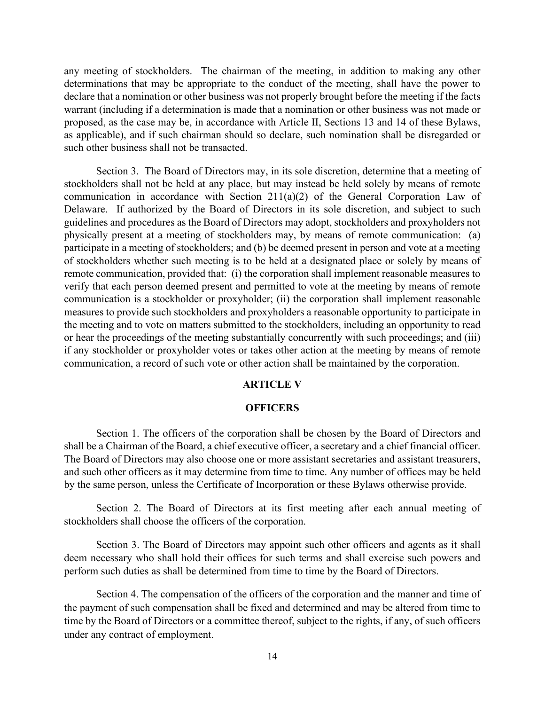any meeting of stockholders. The chairman of the meeting, in addition to making any other determinations that may be appropriate to the conduct of the meeting, shall have the power to declare that a nomination or other business was not properly brought before the meeting if the facts warrant (including if a determination is made that a nomination or other business was not made or proposed, as the case may be, in accordance with Article II, Sections 13 and 14 of these Bylaws, as applicable), and if such chairman should so declare, such nomination shall be disregarded or such other business shall not be transacted.

Section 3. The Board of Directors may, in its sole discretion, determine that a meeting of stockholders shall not be held at any place, but may instead be held solely by means of remote communication in accordance with Section 211(a)(2) of the General Corporation Law of Delaware. If authorized by the Board of Directors in its sole discretion, and subject to such guidelines and procedures as the Board of Directors may adopt, stockholders and proxyholders not physically present at a meeting of stockholders may, by means of remote communication: (a) participate in a meeting of stockholders; and (b) be deemed present in person and vote at a meeting of stockholders whether such meeting is to be held at a designated place or solely by means of remote communication, provided that: (i) the corporation shall implement reasonable measures to verify that each person deemed present and permitted to vote at the meeting by means of remote communication is a stockholder or proxyholder; (ii) the corporation shall implement reasonable measures to provide such stockholders and proxyholders a reasonable opportunity to participate in the meeting and to vote on matters submitted to the stockholders, including an opportunity to read or hear the proceedings of the meeting substantially concurrently with such proceedings; and (iii) if any stockholder or proxyholder votes or takes other action at the meeting by means of remote communication, a record of such vote or other action shall be maintained by the corporation.

# **ARTICLE V**

## **OFFICERS**

Section 1. The officers of the corporation shall be chosen by the Board of Directors and shall be a Chairman of the Board, a chief executive officer, a secretary and a chief financial officer. The Board of Directors may also choose one or more assistant secretaries and assistant treasurers, and such other officers as it may determine from time to time. Any number of offices may be held by the same person, unless the Certificate of Incorporation or these Bylaws otherwise provide.

Section 2. The Board of Directors at its first meeting after each annual meeting of stockholders shall choose the officers of the corporation.

Section 3. The Board of Directors may appoint such other officers and agents as it shall deem necessary who shall hold their offices for such terms and shall exercise such powers and perform such duties as shall be determined from time to time by the Board of Directors.

Section 4. The compensation of the officers of the corporation and the manner and time of the payment of such compensation shall be fixed and determined and may be altered from time to time by the Board of Directors or a committee thereof, subject to the rights, if any, of such officers under any contract of employment.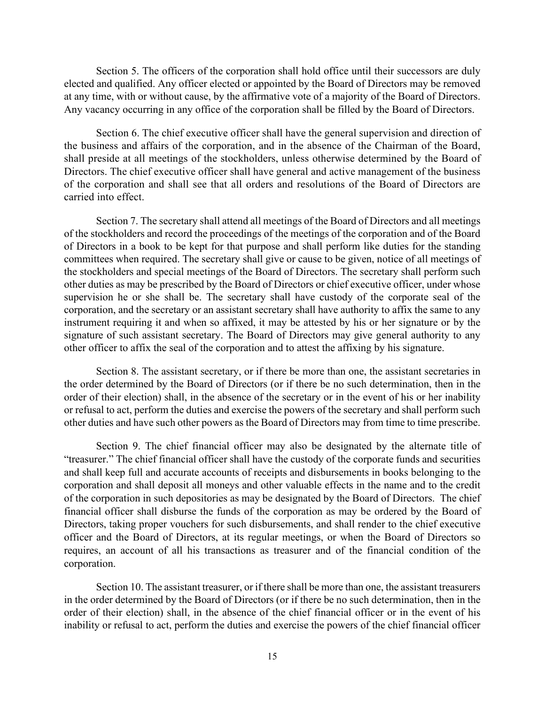Section 5. The officers of the corporation shall hold office until their successors are duly elected and qualified. Any officer elected or appointed by the Board of Directors may be removed at any time, with or without cause, by the affirmative vote of a majority of the Board of Directors. Any vacancy occurring in any office of the corporation shall be filled by the Board of Directors.

Section 6. The chief executive officer shall have the general supervision and direction of the business and affairs of the corporation, and in the absence of the Chairman of the Board, shall preside at all meetings of the stockholders, unless otherwise determined by the Board of Directors. The chief executive officer shall have general and active management of the business of the corporation and shall see that all orders and resolutions of the Board of Directors are carried into effect.

Section 7. The secretary shall attend all meetings of the Board of Directors and all meetings of the stockholders and record the proceedings of the meetings of the corporation and of the Board of Directors in a book to be kept for that purpose and shall perform like duties for the standing committees when required. The secretary shall give or cause to be given, notice of all meetings of the stockholders and special meetings of the Board of Directors. The secretary shall perform such other duties as may be prescribed by the Board of Directors or chief executive officer, under whose supervision he or she shall be. The secretary shall have custody of the corporate seal of the corporation, and the secretary or an assistant secretary shall have authority to affix the same to any instrument requiring it and when so affixed, it may be attested by his or her signature or by the signature of such assistant secretary. The Board of Directors may give general authority to any other officer to affix the seal of the corporation and to attest the affixing by his signature.

Section 8. The assistant secretary, or if there be more than one, the assistant secretaries in the order determined by the Board of Directors (or if there be no such determination, then in the order of their election) shall, in the absence of the secretary or in the event of his or her inability or refusal to act, perform the duties and exercise the powers of the secretary and shall perform such other duties and have such other powers as the Board of Directors may from time to time prescribe.

Section 9. The chief financial officer may also be designated by the alternate title of "treasurer." The chief financial officer shall have the custody of the corporate funds and securities and shall keep full and accurate accounts of receipts and disbursements in books belonging to the corporation and shall deposit all moneys and other valuable effects in the name and to the credit of the corporation in such depositories as may be designated by the Board of Directors. The chief financial officer shall disburse the funds of the corporation as may be ordered by the Board of Directors, taking proper vouchers for such disbursements, and shall render to the chief executive officer and the Board of Directors, at its regular meetings, or when the Board of Directors so requires, an account of all his transactions as treasurer and of the financial condition of the corporation.

Section 10. The assistant treasurer, or if there shall be more than one, the assistant treasurers in the order determined by the Board of Directors (or if there be no such determination, then in the order of their election) shall, in the absence of the chief financial officer or in the event of his inability or refusal to act, perform the duties and exercise the powers of the chief financial officer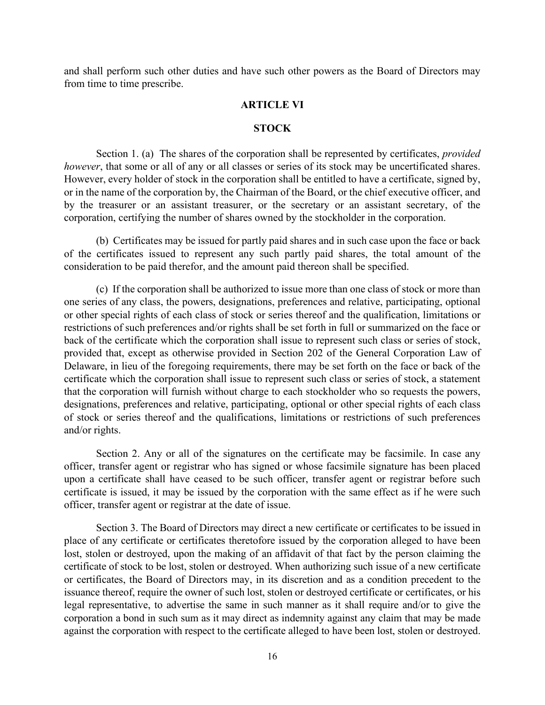and shall perform such other duties and have such other powers as the Board of Directors may from time to time prescribe.

### **ARTICLE VI**

# **STOCK**

Section 1. (a) The shares of the corporation shall be represented by certificates, *provided however*, that some or all of any or all classes or series of its stock may be uncertificated shares. However, every holder of stock in the corporation shall be entitled to have a certificate, signed by, or in the name of the corporation by, the Chairman of the Board, or the chief executive officer, and by the treasurer or an assistant treasurer, or the secretary or an assistant secretary, of the corporation, certifying the number of shares owned by the stockholder in the corporation.

(b) Certificates may be issued for partly paid shares and in such case upon the face or back of the certificates issued to represent any such partly paid shares, the total amount of the consideration to be paid therefor, and the amount paid thereon shall be specified.

(c) If the corporation shall be authorized to issue more than one class of stock or more than one series of any class, the powers, designations, preferences and relative, participating, optional or other special rights of each class of stock or series thereof and the qualification, limitations or restrictions of such preferences and/or rights shall be set forth in full or summarized on the face or back of the certificate which the corporation shall issue to represent such class or series of stock, provided that, except as otherwise provided in Section 202 of the General Corporation Law of Delaware, in lieu of the foregoing requirements, there may be set forth on the face or back of the certificate which the corporation shall issue to represent such class or series of stock, a statement that the corporation will furnish without charge to each stockholder who so requests the powers, designations, preferences and relative, participating, optional or other special rights of each class of stock or series thereof and the qualifications, limitations or restrictions of such preferences and/or rights.

Section 2. Any or all of the signatures on the certificate may be facsimile. In case any officer, transfer agent or registrar who has signed or whose facsimile signature has been placed upon a certificate shall have ceased to be such officer, transfer agent or registrar before such certificate is issued, it may be issued by the corporation with the same effect as if he were such officer, transfer agent or registrar at the date of issue.

Section 3. The Board of Directors may direct a new certificate or certificates to be issued in place of any certificate or certificates theretofore issued by the corporation alleged to have been lost, stolen or destroyed, upon the making of an affidavit of that fact by the person claiming the certificate of stock to be lost, stolen or destroyed. When authorizing such issue of a new certificate or certificates, the Board of Directors may, in its discretion and as a condition precedent to the issuance thereof, require the owner of such lost, stolen or destroyed certificate or certificates, or his legal representative, to advertise the same in such manner as it shall require and/or to give the corporation a bond in such sum as it may direct as indemnity against any claim that may be made against the corporation with respect to the certificate alleged to have been lost, stolen or destroyed.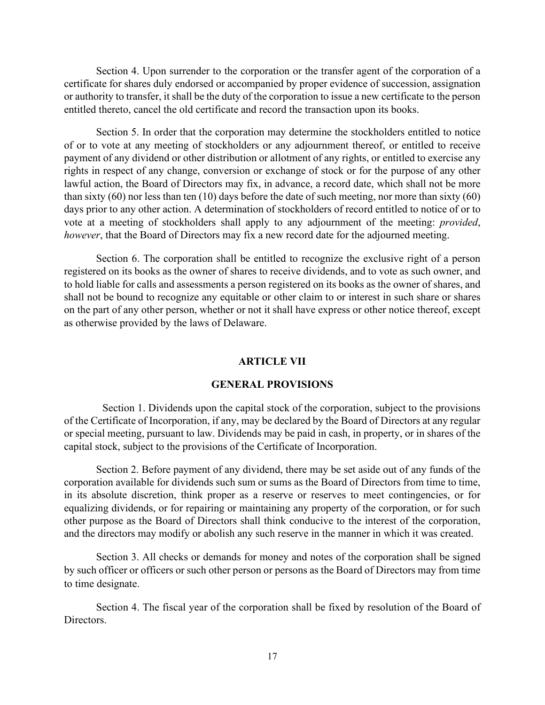Section 4. Upon surrender to the corporation or the transfer agent of the corporation of a certificate for shares duly endorsed or accompanied by proper evidence of succession, assignation or authority to transfer, it shall be the duty of the corporation to issue a new certificate to the person entitled thereto, cancel the old certificate and record the transaction upon its books.

Section 5. In order that the corporation may determine the stockholders entitled to notice of or to vote at any meeting of stockholders or any adjournment thereof, or entitled to receive payment of any dividend or other distribution or allotment of any rights, or entitled to exercise any rights in respect of any change, conversion or exchange of stock or for the purpose of any other lawful action, the Board of Directors may fix, in advance, a record date, which shall not be more than sixty (60) nor less than ten (10) days before the date of such meeting, nor more than sixty (60) days prior to any other action. A determination of stockholders of record entitled to notice of or to vote at a meeting of stockholders shall apply to any adjournment of the meeting: *provided*, *however*, that the Board of Directors may fix a new record date for the adjourned meeting.

Section 6. The corporation shall be entitled to recognize the exclusive right of a person registered on its books as the owner of shares to receive dividends, and to vote as such owner, and to hold liable for calls and assessments a person registered on its books as the owner of shares, and shall not be bound to recognize any equitable or other claim to or interest in such share or shares on the part of any other person, whether or not it shall have express or other notice thereof, except as otherwise provided by the laws of Delaware.

### **ARTICLE VII**

# **GENERAL PROVISIONS**

Section 1. Dividends upon the capital stock of the corporation, subject to the provisions of the Certificate of Incorporation, if any, may be declared by the Board of Directors at any regular or special meeting, pursuant to law. Dividends may be paid in cash, in property, or in shares of the capital stock, subject to the provisions of the Certificate of Incorporation.

Section 2. Before payment of any dividend, there may be set aside out of any funds of the corporation available for dividends such sum or sums as the Board of Directors from time to time, in its absolute discretion, think proper as a reserve or reserves to meet contingencies, or for equalizing dividends, or for repairing or maintaining any property of the corporation, or for such other purpose as the Board of Directors shall think conducive to the interest of the corporation, and the directors may modify or abolish any such reserve in the manner in which it was created.

Section 3. All checks or demands for money and notes of the corporation shall be signed by such officer or officers or such other person or persons as the Board of Directors may from time to time designate.

Section 4. The fiscal year of the corporation shall be fixed by resolution of the Board of Directors.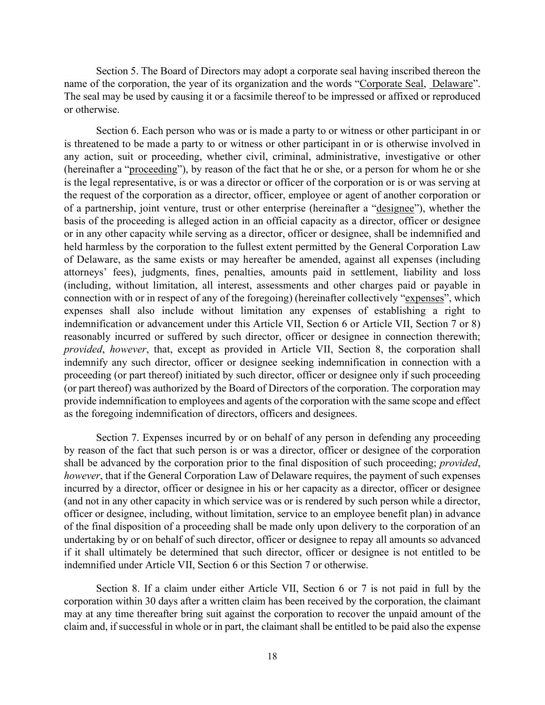Section 5. The Board of Directors may adopt a corporate seal having inscribed thereon the name of the corporation, the year of its organization and the words "Corporate Seal, Delaware". The seal may be used by causing it or a facsimile thereof to be impressed or affixed or reproduced or otherwise.

Section 6. Each person who was or is made a party to or witness or other participant in or is threatened to be made a party to or witness or other participant in or is otherwise involved in any action, suit or proceeding, whether civil, criminal, administrative, investigative or other (hereinafter a "proceeding"), by reason of the fact that he or she, or a person for whom he or she is the legal representative, is or was a director or officer of the corporation or is or was serving at the request of the corporation as a director, officer, employee or agent of another corporation or of a partnership, joint venture, trust or other enterprise (hereinafter a "designee"), whether the basis of the proceeding is alleged action in an official capacity as a director, officer or designee or in any other capacity while serving as a director, officer or designee, shall be indemnified and held harmless by the corporation to the fullest extent permitted by the General Corporation Law of Delaware, as the same exists or may hereafter be amended, against all expenses (including attorneys' fees), judgments, fines, penalties, amounts paid in settlement, liability and loss (including, without limitation, all interest, assessments and other charges paid or payable in connection with or in respect of any of the foregoing) (hereinafter collectively "expenses", which expenses shall also include without limitation any expenses of establishing a right to indemnification or advancement under this Article VII, Section 6 or Article VII, Section 7 or 8) reasonably incurred or suffered by such director, officer or designee in connection therewith; *provided*, *however*, that, except as provided in Article VII, Section 8, the corporation shall indemnify any such director, officer or designee seeking indemnification in connection with a proceeding (or part thereof) initiated by such director, officer or designee only if such proceeding (or part thereof) was authorized by the Board of Directors of the corporation. The corporation may provide indemnification to employees and agents of the corporation with the same scope and effect as the foregoing indemnification of directors, officers and designees.

Section 7. Expenses incurred by or on behalf of any person in defending any proceeding by reason of the fact that such person is or was a director, officer or designee of the corporation shall be advanced by the corporation prior to the final disposition of such proceeding; *provided*, *however*, that if the General Corporation Law of Delaware requires, the payment of such expenses incurred by a director, officer or designee in his or her capacity as a director, officer or designee (and not in any other capacity in which service was or is rendered by such person while a director, officer or designee, including, without limitation, service to an employee benefit plan) in advance of the final disposition of a proceeding shall be made only upon delivery to the corporation of an undertaking by or on behalf of such director, officer or designee to repay all amounts so advanced if it shall ultimately be determined that such director, officer or designee is not entitled to be indemnified under Article VII, Section 6 or this Section 7 or otherwise.

Section 8. If a claim under either Article VII, Section 6 or 7 is not paid in full by the corporation within 30 days after a written claim has been received by the corporation, the claimant may at any time thereafter bring suit against the corporation to recover the unpaid amount of the claim and, if successful in whole or in part, the claimant shall be entitled to be paid also the expense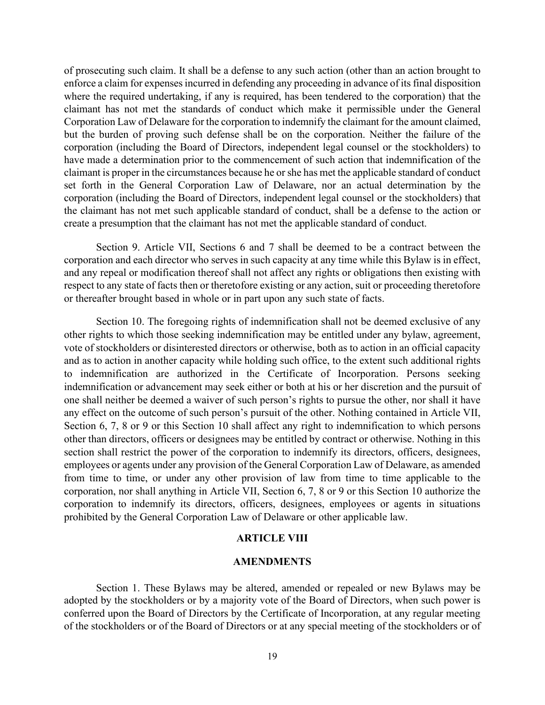of prosecuting such claim. It shall be a defense to any such action (other than an action brought to enforce a claim for expenses incurred in defending any proceeding in advance of its final disposition where the required undertaking, if any is required, has been tendered to the corporation) that the claimant has not met the standards of conduct which make it permissible under the General Corporation Law of Delaware for the corporation to indemnify the claimant for the amount claimed, but the burden of proving such defense shall be on the corporation. Neither the failure of the corporation (including the Board of Directors, independent legal counsel or the stockholders) to have made a determination prior to the commencement of such action that indemnification of the claimant is proper in the circumstances because he or she has met the applicable standard of conduct set forth in the General Corporation Law of Delaware, nor an actual determination by the corporation (including the Board of Directors, independent legal counsel or the stockholders) that the claimant has not met such applicable standard of conduct, shall be a defense to the action or create a presumption that the claimant has not met the applicable standard of conduct.

Section 9. Article VII, Sections 6 and 7 shall be deemed to be a contract between the corporation and each director who serves in such capacity at any time while this Bylaw is in effect, and any repeal or modification thereof shall not affect any rights or obligations then existing with respect to any state of facts then or theretofore existing or any action, suit or proceeding theretofore or thereafter brought based in whole or in part upon any such state of facts.

Section 10. The foregoing rights of indemnification shall not be deemed exclusive of any other rights to which those seeking indemnification may be entitled under any bylaw, agreement, vote of stockholders or disinterested directors or otherwise, both as to action in an official capacity and as to action in another capacity while holding such office, to the extent such additional rights to indemnification are authorized in the Certificate of Incorporation. Persons seeking indemnification or advancement may seek either or both at his or her discretion and the pursuit of one shall neither be deemed a waiver of such person's rights to pursue the other, nor shall it have any effect on the outcome of such person's pursuit of the other. Nothing contained in Article VII, Section 6, 7, 8 or 9 or this Section 10 shall affect any right to indemnification to which persons other than directors, officers or designees may be entitled by contract or otherwise. Nothing in this section shall restrict the power of the corporation to indemnify its directors, officers, designees, employees or agents under any provision of the General Corporation Law of Delaware, as amended from time to time, or under any other provision of law from time to time applicable to the corporation, nor shall anything in Article VII, Section 6, 7, 8 or 9 or this Section 10 authorize the corporation to indemnify its directors, officers, designees, employees or agents in situations prohibited by the General Corporation Law of Delaware or other applicable law.

#### **ARTICLE VIII**

#### **AMENDMENTS**

Section 1. These Bylaws may be altered, amended or repealed or new Bylaws may be adopted by the stockholders or by a majority vote of the Board of Directors, when such power is conferred upon the Board of Directors by the Certificate of Incorporation, at any regular meeting of the stockholders or of the Board of Directors or at any special meeting of the stockholders or of